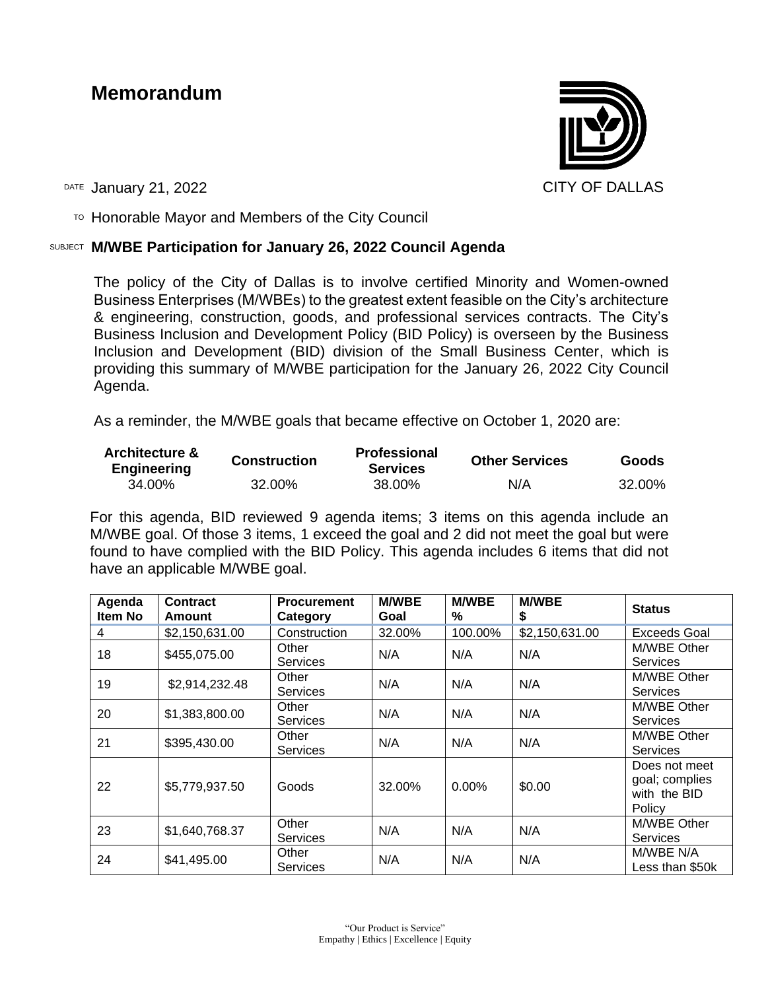# **Memorandum**



DATE January 21, 2022 2001 12:30 CITY OF DALLAS

 $T$ <sup>O</sup> Honorable Mayor and Members of the City Council

## SUBJECT **M/WBE Participation for January 26, 2022 Council Agenda**

The policy of the City of Dallas is to involve certified Minority and Women-owned Business Enterprises (M/WBEs) to the greatest extent feasible on the City's architecture & engineering, construction, goods, and professional services contracts. The City's Business Inclusion and Development Policy (BID Policy) is overseen by the Business Inclusion and Development (BID) division of the Small Business Center, which is providing this summary of M/WBE participation for the January 26, 2022 City Council Agenda.

As a reminder, the M/WBE goals that became effective on October 1, 2020 are:

| <b>Architecture &amp;</b><br><b>Engineering</b> | <b>Construction</b> | <b>Professional</b><br><b>Services</b> | <b>Other Services</b> | Goods  |  |
|-------------------------------------------------|---------------------|----------------------------------------|-----------------------|--------|--|
| 34.00%                                          | 32.00%              | 38.00%                                 | N/A                   | 32.00% |  |

For this agenda, BID reviewed 9 agenda items; 3 items on this agenda include an M/WBE goal. Of those 3 items, 1 exceed the goal and 2 did not meet the goal but were found to have complied with the BID Policy. This agenda includes 6 items that did not have an applicable M/WBE goal.

| Agenda<br>Item No | <b>Contract</b><br>Amount | <b>Procurement</b><br>Category | <b>M/WBE</b><br>Goal | <b>M/WBE</b><br>$\%$ | <b>M/WBE</b><br>\$ | <b>Status</b>                                             |
|-------------------|---------------------------|--------------------------------|----------------------|----------------------|--------------------|-----------------------------------------------------------|
| 4                 | \$2,150,631.00            | Construction                   | 32.00%               | 100.00%              | \$2,150,631.00     | <b>Exceeds Goal</b>                                       |
| 18                | \$455,075.00              | Other<br>Services              | N/A                  | N/A                  | N/A                | M/WBE Other<br><b>Services</b>                            |
| 19                | \$2,914,232.48            | Other<br>Services              | N/A                  | N/A                  | N/A                | M/WBE Other<br><b>Services</b>                            |
| 20                | \$1,383,800.00            | Other<br><b>Services</b>       | N/A                  | N/A                  | N/A                | M/WBE Other<br><b>Services</b>                            |
| 21                | \$395,430.00              | Other<br><b>Services</b>       | N/A                  | N/A                  | N/A                | M/WBE Other<br><b>Services</b>                            |
| 22                | \$5,779,937.50            | Goods                          | 32.00%               | $0.00\%$             | \$0.00             | Does not meet<br>goal; complies<br>with the BID<br>Policy |
| 23                | \$1,640,768.37            | Other<br><b>Services</b>       | N/A                  | N/A                  | N/A                | M/WBE Other<br><b>Services</b>                            |
| 24                | \$41,495.00               | Other<br>Services              | N/A                  | N/A                  | N/A                | M/WBE N/A<br>Less than \$50k                              |